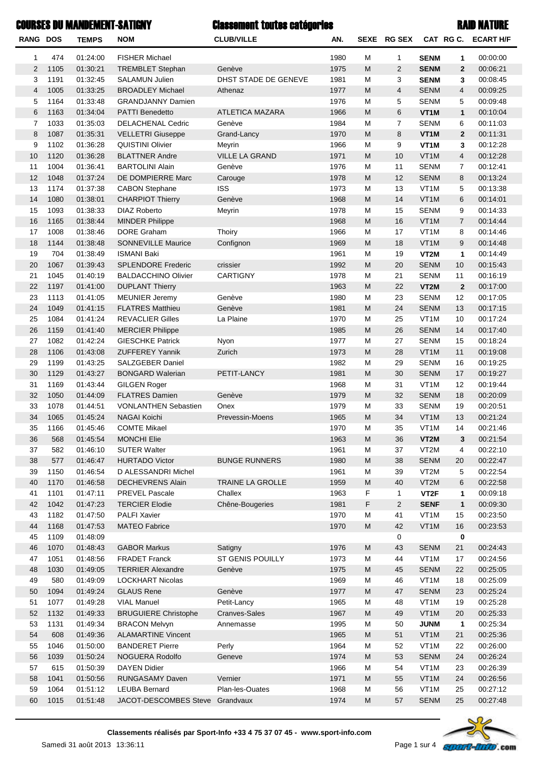# Classement toutes catégories RAID NATURECOURSES DU MANDEMENT-SATIGNY

| <b>RANG DOS</b> |      | <b>TEMPS</b> | <b>NOM</b>                      | <b>CLUB/VILLE</b>      | AN.  |   | SEXE RG SEX    |                   | CAT RG C.      | <b>ECART H/F</b> |
|-----------------|------|--------------|---------------------------------|------------------------|------|---|----------------|-------------------|----------------|------------------|
| 1               | 474  | 01:24:00     | <b>FISHER Michael</b>           |                        | 1980 | M | 1              | <b>SENM</b>       | 1              | 00:00:00         |
| $\overline{2}$  | 1105 | 01:30:21     | <b>TREMBLET Stephan</b>         | Genève                 | 1975 | M | 2              | <b>SENM</b>       | $\overline{2}$ | 00:06:21         |
| 3               | 1191 | 01:32:45     | <b>SALAMUN Julien</b>           | DHST STADE DE GENEVE   | 1981 | M | 3              | <b>SENM</b>       | 3              | 00:08:45         |
| $\overline{4}$  | 1005 | 01:33:25     | <b>BROADLEY Michael</b>         | Athenaz                | 1977 | M | $\overline{4}$ | <b>SENM</b>       | 4              | 00:09:25         |
| 5               | 1164 | 01:33:48     | <b>GRANDJANNY Damien</b>        |                        | 1976 | M | 5              | <b>SENM</b>       | 5              | 00:09:48         |
| 6               | 1163 | 01:34:04     | <b>PATTI Benedetto</b>          | <b>ATLETICA MAZARA</b> | 1966 | M | 6              | VT <sub>1</sub> M | $\mathbf{1}$   | 00:10:04         |
| $\overline{7}$  | 1033 | 01:35:03     | DELACHENAL Cedric               | Genève                 | 1984 | M | $\overline{7}$ | <b>SENM</b>       | 6              | 00:11:03         |
| 8               | 1087 | 01:35:31     | <b>VELLETRI Giuseppe</b>        | Grand-Lancy            | 1970 | M | 8              | VT <sub>1</sub> M | $\overline{2}$ | 00:11:31         |
| 9               | 1102 | 01:36:28     | <b>QUISTINI Olivier</b>         | Meyrin                 | 1966 | M | 9              | VT <sub>1</sub> M | 3              | 00:12:28         |
| 10              | 1120 | 01:36:28     | <b>BLATTNER Andre</b>           | <b>VILLE LA GRAND</b>  | 1971 | M | 10             | VT <sub>1</sub> M | 4              | 00:12:28         |
| 11              | 1004 | 01:36:41     | <b>BARTOLINI Alain</b>          | Genève                 | 1976 | M | 11             | <b>SENM</b>       | $\overline{7}$ | 00:12:41         |
| 12              | 1048 | 01:37:24     | DE DOMPIERRE Marc               | Carouge                | 1978 | M | 12             | <b>SENM</b>       | 8              | 00:13:24         |
| 13              | 1174 | 01:37:38     | <b>CABON Stephane</b>           | <b>ISS</b>             | 1973 | M | 13             | VT <sub>1</sub> M | 5              | 00:13:38         |
| 14              | 1080 | 01:38:01     | <b>CHARPIOT Thierry</b>         | Genève                 | 1968 | M | 14             | VT <sub>1</sub> M | 6              | 00:14:01         |
| 15              | 1093 | 01:38:33     | <b>DIAZ Roberto</b>             | Meyrin                 | 1978 | M | 15             | <b>SENM</b>       | 9              | 00:14:33         |
| 16              | 1165 | 01:38:44     | <b>MINDER Philippe</b>          |                        | 1968 | M | 16             | VT <sub>1</sub> M | $\overline{7}$ | 00:14:44         |
| 17              | 1008 | 01:38:46     | <b>DORE Graham</b>              | Thoiry                 | 1966 | M | 17             | VT <sub>1</sub> M | 8              | 00:14:46         |
| 18              | 1144 | 01:38:48     | <b>SONNEVILLE Maurice</b>       | Confignon              | 1969 | M | 18             | VT <sub>1</sub> M | 9              | 00:14:48         |
| 19              | 704  | 01:38:49     | <b>ISMANI Baki</b>              |                        | 1961 | M | 19             | VT2M              | $\mathbf{1}$   | 00:14:49         |
| 20              | 1067 | 01:39:43     | <b>SPLENDORE Frederic</b>       | crissier               | 1992 | M | 20             | <b>SENM</b>       | 10             | 00:15:43         |
| 21              | 1045 | 01:40:19     | <b>BALDACCHINO Olivier</b>      | CARTIGNY               | 1978 | M | 21             | <b>SENM</b>       | 11             | 00:16:19         |
| 22              | 1197 | 01:41:00     | <b>DUPLANT Thierry</b>          |                        | 1963 | M | 22             | VT2M              | $\mathbf{2}$   | 00:17:00         |
| 23              | 1113 | 01:41:05     | <b>MEUNIER Jeremy</b>           | Genève                 | 1980 | M | 23             | <b>SENM</b>       | 12             | 00:17:05         |
| 24              | 1049 | 01:41:15     | <b>FLATRES Matthieu</b>         | Genève                 | 1981 | M | 24             | <b>SENM</b>       | 13             | 00:17:15         |
| 25              | 1084 | 01:41:24     | <b>REVACLIER Gilles</b>         | La Plaine              | 1970 | M | 25             | VT <sub>1</sub> M | 10             | 00:17:24         |
| 26              | 1159 | 01:41:40     | <b>MERCIER Philippe</b>         |                        | 1985 | M | 26             | <b>SENM</b>       | 14             | 00:17:40         |
| 27              | 1082 | 01:42:24     | <b>GIESCHKE Patrick</b>         | Nyon                   | 1977 | M | 27             | <b>SENM</b>       | 15             | 00:18:24         |
| 28              | 1106 | 01:43:08     | <b>ZUFFEREY Yannik</b>          | Zurich                 | 1973 | M | 28             | VT <sub>1</sub> M | 11             | 00:19:08         |
| 29              | 1199 | 01:43:25     | SALZGEBER Daniel                |                        | 1982 | M | 29             | <b>SENM</b>       | 16             | 00:19:25         |
| 30              | 1129 | 01:43:27     | <b>BONGARD Walerian</b>         | PETIT-LANCY            | 1981 | M | 30             | <b>SENM</b>       | 17             | 00:19:27         |
| 31              | 1169 | 01:43:44     | <b>GILGEN Roger</b>             |                        | 1968 | М | 31             | VT <sub>1</sub> M | 12             | 00:19:44         |
| 32              | 1050 | 01:44:09     | <b>FLATRES Damien</b>           | Genève                 | 1979 | M | 32             | <b>SENM</b>       | 18             | 00:20:09         |
| 33              | 1078 | 01:44:51     | <b>VONLANTHEN Sebastien</b>     | Onex                   | 1979 | М | 33             | <b>SENM</b>       | 19             | 00:20:51         |
| 34              | 1065 | 01:45:24     | <b>NAGAI Koichi</b>             | Prevessin-Moens        | 1965 | M | 34             | VT <sub>1</sub> M | 13             | 00:21:24         |
| 35              | 1166 | 01:45:46     | <b>COMTE Mikael</b>             |                        | 1970 | M | 35             | VT <sub>1</sub> M | 14             | 00:21:46         |
| 36              | 568  | 01:45:54     | <b>MONCHI Elie</b>              |                        | 1963 | M | 36             | VT2M              | 3 <sup>1</sup> | 00:21:54         |
| 37              | 582  | 01:46:10     | <b>SUTER Walter</b>             |                        | 1961 | М | 37             | VT2M              | 4              | 00:22:10         |
| 38              | 577  | 01:46:47     | <b>HURTADO Victor</b>           | <b>BUNGE RUNNERS</b>   | 1980 | M | 38             | <b>SENM</b>       | 20             | 00:22:47         |
| 39              | 1150 | 01:46:54     | D ALESSANDRI Michel             |                        | 1961 | М | 39             | VT2M              | 5              | 00:22:54         |
| 40              | 1170 | 01:46:58     | <b>DECHEVRENS Alain</b>         | TRAINE LA GROLLE       | 1959 | M | 40             | VT2M              | 6              | 00:22:58         |
| 41              | 1101 | 01:47:11     | <b>PREVEL Pascale</b>           | Challex                | 1963 | F | 1              | VT <sub>2</sub> F | 1              | 00:09:18         |
| 42              | 1042 | 01:47:23     | <b>TERCIER Elodie</b>           | Chêne-Bougeries        | 1981 | F | 2              | <b>SENF</b>       | $\mathbf{1}$   | 00:09:30         |
| 43              | 1182 | 01:47:50     | <b>PALFI Xavier</b>             |                        | 1970 | М | 41             | VT <sub>1</sub> M | 15             | 00:23:50         |
| 44              | 1168 | 01:47:53     | <b>MATEO Fabrice</b>            |                        | 1970 | M | 42             | VT <sub>1</sub> M | 16             | 00:23:53         |
| 45              | 1109 | 01:48:09     |                                 |                        |      |   | 0              |                   | 0              |                  |
| 46              | 1070 | 01:48:43     | <b>GABOR Markus</b>             | Satigny                | 1976 | M | 43             | <b>SENM</b>       | 21             | 00:24:43         |
| 47              | 1051 | 01:48:56     | <b>FRADET Franck</b>            | ST GENIS POUILLY       | 1973 | М | 44             | VT1M              | 17             | 00:24:56         |
| 48              | 1030 | 01:49:05     | <b>TERRIER Alexandre</b>        | Genève                 | 1975 | M | 45             | <b>SENM</b>       | 22             | 00:25:05         |
| 49              | 580  | 01:49:09     | <b>LOCKHART Nicolas</b>         |                        | 1969 | М | 46             | VT1M              | 18             | 00:25:09         |
| 50              | 1094 | 01:49:24     | <b>GLAUS Rene</b>               | Genève                 | 1977 | M | 47             | <b>SENM</b>       | 23             | 00:25:24         |
| 51              | 1077 | 01:49:28     | <b>VIAL Manuel</b>              | Petit-Lancy            | 1965 | М | 48             | VT1M              | 19             | 00:25:28         |
| 52              | 1132 | 01:49:33     | <b>BRUGUIERE Christophe</b>     | <b>Cranves-Sales</b>   | 1967 | M | 49             | VT1M              | 20             | 00:25:33         |
| 53              | 1131 | 01:49:34     | <b>BRACON Melvyn</b>            | Annemasse              | 1995 | M | 50             | <b>JUNM</b>       | 1              | 00:25:34         |
| 54              | 608  | 01:49:36     | <b>ALAMARTINE Vincent</b>       |                        | 1965 | M | 51             | VT1M              | 21             | 00:25:36         |
| 55              | 1046 | 01:50:00     | <b>BANDERET Pierre</b>          | Perly                  | 1964 | M | 52             | VT1M              | 22             | 00:26:00         |
| 56              | 1039 | 01:50:24     | NOGUERA Rodolfo                 | Geneve                 | 1974 | M | 53             | <b>SENM</b>       | 24             | 00:26:24         |
| 57              | 615  | 01:50:39     | <b>DAYEN Didier</b>             |                        | 1966 | M | 54             | VT <sub>1</sub> M | 23             | 00:26:39         |
| 58              | 1041 | 01:50:56     | <b>RUNGASAMY Daven</b>          | Vernier                | 1971 | M | 55             | VT1M              | 24             | 00:26:56         |
| 59              | 1064 | 01:51:12     | <b>LEUBA Bernard</b>            | Plan-les-Ouates        | 1968 | M | 56             | VT <sub>1</sub> M | 25             | 00:27:12         |
| 60              | 1015 | 01:51:48     | JACOT-DESCOMBES Steve Grandvaux |                        | 1974 | M | 57             | <b>SENM</b>       | 25             | 00:27:48         |

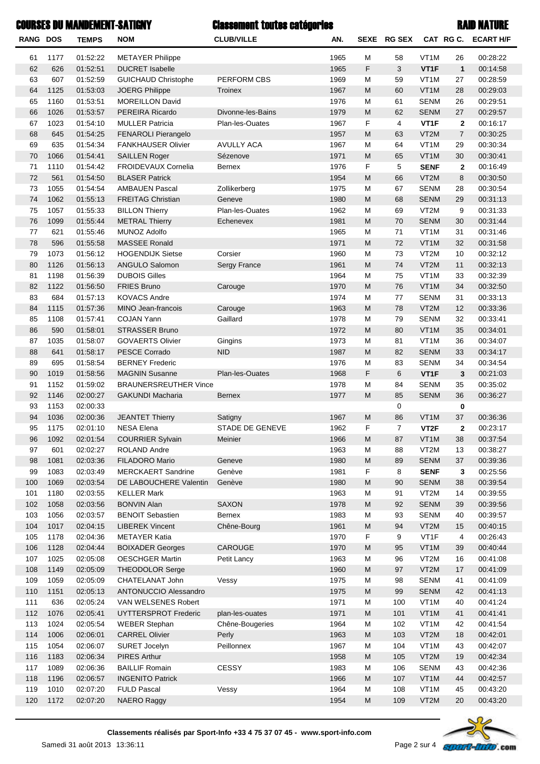# Classement toutes catégories RAID NATURECOURSES DU MANDEMENT-SATIGNY

| <b>RANG DOS</b> |              | <b>TEMPS</b>         | <b>NOM</b>                                   | <b>CLUB/VILLE</b>      | AN.          | SEXE                                                                                  | <b>RG SEX</b>  | CAT RG C.           |                | <b>ECART H/F</b>     |
|-----------------|--------------|----------------------|----------------------------------------------|------------------------|--------------|---------------------------------------------------------------------------------------|----------------|---------------------|----------------|----------------------|
| 61              | 1177         | 01:52:22             | <b>METAYER Philippe</b>                      |                        | 1965         | М                                                                                     | 58             | VT <sub>1</sub> M   | 26             | 00:28:22             |
| 62              | 626          | 01:52:51             | <b>DUCRET Isabelle</b>                       |                        | 1965         | $\mathsf F$                                                                           | 3              | VT1F                | $\mathbf{1}$   | 00:14:58             |
| 63              | 607          | 01:52:59             | <b>GUICHAUD Christophe</b>                   | <b>PERFORM CBS</b>     | 1969         | М                                                                                     | 59             | VT <sub>1</sub> M   | 27             | 00:28:59             |
| 64              | 1125         | 01:53:03             | <b>JOERG Philippe</b>                        | Troinex                | 1967         | M                                                                                     | 60             | VT <sub>1</sub> M   | 28             | 00:29:03             |
| 65              | 1160         | 01:53:51             | <b>MOREILLON David</b>                       |                        | 1976         | М                                                                                     | 61             | <b>SENM</b>         | 26             | 00:29:51             |
| 66              | 1026         | 01:53:57             | PEREIRA Ricardo                              | Divonne-les-Bains      | 1979         | M                                                                                     | 62             | <b>SENM</b>         | 27             | 00:29:57             |
| 67              | 1023         | 01:54:10             | <b>MULLER Patricia</b>                       | Plan-les-Ouates        | 1967         | F                                                                                     | 4              | VT <sub>1</sub> F   | $\mathbf 2$    | 00:16:17             |
| 68              | 645          | 01:54:25             | FENAROLI Pierangelo                          |                        | 1957         | M                                                                                     | 63             | VT2M                | $\overline{7}$ | 00:30:25             |
| 69              | 635          | 01:54:34             | <b>FANKHAUSER Olivier</b>                    | <b>AVULLY ACA</b>      | 1967         | М                                                                                     | 64             | VT <sub>1</sub> M   | 29             | 00:30:34             |
| 70              | 1066         | 01:54:41             | <b>SAILLEN Roger</b>                         | Sézenove               | 1971         | $\mathsf{M}% _{T}=\mathsf{M}_{T}\!\left( a,b\right) ,\ \mathsf{M}_{T}=\mathsf{M}_{T}$ | 65             | VT <sub>1</sub> M   | 30             | 00:30:41             |
| 71              | 1110         | 01:54:42             | FROIDEVAUX Cornelia                          | <b>Bernex</b>          | 1976         | F                                                                                     | 5              | <b>SENF</b>         | $\mathbf{2}$   | 00:16:49             |
| 72              | 561          | 01:54:50             | <b>BLASER Patrick</b>                        |                        | 1954         | M                                                                                     | 66             | VT2M                | 8              | 00:30:50             |
| 73              | 1055         | 01:54:54             | <b>AMBAUEN Pascal</b>                        | Zollikerberg           | 1975         | М                                                                                     | 67             | <b>SENM</b>         | 28             | 00:30:54             |
| 74              | 1062         | 01:55:13             | <b>FREITAG Christian</b>                     | Geneve                 | 1980         | $\mathsf{M}% _{T}=\mathsf{M}_{T}\!\left( a,b\right) ,\ \mathsf{M}_{T}=\mathsf{M}_{T}$ | 68             | <b>SENM</b>         | 29             | 00:31:13             |
| 75              | 1057         | 01:55:33             | <b>BILLON Thierry</b>                        | Plan-les-Ouates        | 1962         | М                                                                                     | 69             | VT <sub>2</sub> M   | 9              | 00:31:33             |
| 76              | 1099         | 01:55:44             | <b>METRAL Thierry</b>                        | Echenevex              | 1981         | M                                                                                     | 70             | <b>SENM</b>         | 30             | 00:31:44             |
| 77              | 621          | 01:55:46             | <b>MUNOZ Adolfo</b>                          |                        | 1965         | М                                                                                     | 71             | VT <sub>1</sub> M   | 31             | 00:31:46             |
| 78              | 596          | 01:55:58             | <b>MASSEE Ronald</b>                         |                        | 1971         | $\mathsf{M}% _{T}=\mathsf{M}_{T}\!\left( a,b\right) ,\ \mathsf{M}_{T}=\mathsf{M}_{T}$ | 72             | VT <sub>1</sub> M   | 32             | 00:31:58             |
| 79              | 1073         | 01:56:12             | <b>HOGENDIJK Sietse</b>                      | Corsier                | 1960         | М                                                                                     | 73             | VT <sub>2</sub> M   | 10             | 00:32:12             |
| 80              | 1126         | 01:56:13             | ANGULO Salomon                               | Sergy France           | 1961         | ${\sf M}$                                                                             | 74             | VT2M                | 11             | 00:32:13             |
| 81              | 1198         | 01:56:39             | <b>DUBOIS Gilles</b>                         |                        | 1964         | М                                                                                     | 75             | VT <sub>1</sub> M   | 33             | 00:32:39             |
| 82              | 1122         | 01:56:50             | <b>FRIES Bruno</b>                           | Carouge                | 1970         | M                                                                                     | 76             | VT <sub>1</sub> M   | 34             | 00:32:50             |
| 83              | 684          | 01:57:13             | <b>KOVACS Andre</b>                          |                        | 1974         | М                                                                                     | 77             | <b>SENM</b>         | 31             | 00:33:13             |
| 84              | 1115         | 01:57:36             | MINO Jean-francois                           | Carouge                | 1963         | ${\sf M}$                                                                             | 78             | VT2M                | 12             | 00:33:36             |
| 85              | 1108         | 01:57:41             | <b>COJAN Yann</b>                            | Gaillard               | 1978         | М                                                                                     | 79             | <b>SENM</b>         | 32             | 00:33:41             |
| 86              | 590          | 01:58:01             | <b>STRASSER Bruno</b>                        |                        | 1972         | M                                                                                     | 80             | VT <sub>1</sub> M   | 35             | 00:34:01             |
| 87              | 1035         | 01:58:07             | <b>GOVAERTS Olivier</b>                      | Gingins                | 1973         | М                                                                                     | 81             | VT <sub>1</sub> M   | 36             | 00:34:07             |
| 88              | 641          | 01:58:17             | PESCE Corrado                                | <b>NID</b>             | 1987         | M                                                                                     | 82             | <b>SENM</b>         | 33             | 00:34:17             |
| 89              | 695          | 01:58:54             | <b>BERNEY Frederic</b>                       |                        | 1976         | М                                                                                     | 83             | <b>SENM</b>         | 34             | 00:34:54             |
| 90              | 1019         | 01:58:56             | <b>MAGNIN Susanne</b>                        | Plan-les-Ouates        | 1968         | $\mathsf F$                                                                           | 6              | VT <sub>1</sub> F   | 3              | 00:21:03             |
| 91              | 1152         | 01:59:02             | <b>BRAUNERSREUTHER Vince</b>                 |                        | 1978         | M                                                                                     | 84             | <b>SENM</b>         | 35             | 00:35:02             |
| 92              | 1146         | 02:00:27             | <b>GAKUNDI Macharia</b>                      | <b>Bernex</b>          | 1977         | M                                                                                     | 85             | <b>SENM</b>         | 36             | 00:36:27             |
| 93              | 1153         | 02:00:33             |                                              |                        |              |                                                                                       | 0              |                     | 0              |                      |
| 94              | 1036         | 02:00:36<br>02:01:10 | <b>JEANTET Thierry</b><br><b>NESA Elena</b>  | Satigny                | 1967         | M                                                                                     | 86             | VT <sub>1</sub> M   | 37             | 00:36:36             |
| 95              | 1175         |                      |                                              | <b>STADE DE GENEVE</b> | 1962         | F                                                                                     | $\overline{7}$ | VT <sub>2</sub> F   | $\mathbf 2$    | 00:23:17             |
| 96              | 1092         | 02:01:54             | <b>COURRIER Sylvain</b>                      | <b>Meinier</b>         | 1966         | M                                                                                     | 87             | VT <sub>1</sub> M   | 38             | 00:37:54<br>00:38:27 |
| 97<br>98        | 601          | 02:02:27<br>02:03:36 | <b>ROLAND Andre</b><br><b>FILADORO Mario</b> | Geneve                 | 1963<br>1980 | М<br>M                                                                                | 88<br>89       | VT2M<br><b>SENM</b> | 13<br>37       |                      |
| 99              | 1081<br>1083 | 02:03:49             | <b>MERCKAERT Sandrine</b>                    | Genève                 | 1981         | F                                                                                     | 8              | <b>SENF</b>         | 3              | 00:39:36<br>00:25:56 |
| 100             | 1069         | 02:03:54             | DE LABOUCHERE Valentin                       | Genève                 | 1980         | M                                                                                     | 90             | <b>SENM</b>         | 38             | 00:39:54             |
| 101             | 1180         | 02:03:55             | <b>KELLER Mark</b>                           |                        | 1963         | М                                                                                     | 91             | VT2M                | 14             | 00:39:55             |
| 102             | 1058         | 02:03:56             | <b>BONVIN Alan</b>                           | SAXON                  | 1978         | M                                                                                     | 92             | <b>SENM</b>         | 39             | 00:39:56             |
| 103             | 1056         | 02:03:57             | <b>BENOIT Sebastien</b>                      | Bernex                 | 1983         | М                                                                                     | 93             | <b>SENM</b>         | 40             | 00:39:57             |
| 104             | 1017         | 02:04:15             | <b>LIBEREK Vincent</b>                       | Chêne-Bourg            | 1961         | M                                                                                     | 94             | VT2M                | 15             | 00:40:15             |
| 105             | 1178         | 02:04:36             | <b>METAYER Katia</b>                         |                        | 1970         | F                                                                                     | 9              | VT1F                | 4              | 00:26:43             |
| 106             | 1128         | 02:04:44             | <b>BOIXADER Georges</b>                      | CAROUGE                | 1970         | M                                                                                     | 95             | VT <sub>1</sub> M   | 39             | 00:40:44             |
| 107             | 1025         | 02:05:08             | <b>OESCHGER Martin</b>                       | Petit Lancy            | 1963         | М                                                                                     | 96             | VT2M                | 16             | 00:41:08             |
| 108             | 1149         | 02:05:09             | <b>THEODOLOR Serge</b>                       |                        | 1960         | M                                                                                     | 97             | VT2M                | 17             | 00:41:09             |
| 109             | 1059         | 02:05:09             | CHATELANAT John                              | Vessy                  | 1975         | М                                                                                     | 98             | <b>SENM</b>         | 41             | 00:41:09             |
| 110             | 1151         | 02:05:13             | ANTONUCCIO Alessandro                        |                        | 1975         | M                                                                                     | 99             | <b>SENM</b>         | 42             | 00:41:13             |
| 111             | 636          | 02:05:24             | VAN WELSENES Robert                          |                        | 1971         | М                                                                                     | 100            | VT1M                | 40             | 00:41:24             |
| 112             | 1076         | 02:05:41             | UYTTERSPROT Frederic                         | plan-les-ouates        | 1971         | M                                                                                     | 101            | VT <sub>1</sub> M   | 41             | 00:41:41             |
| 113             | 1024         | 02:05:54             | <b>WEBER Stephan</b>                         | Chêne-Bougeries        | 1964         | М                                                                                     | 102            | VT1M                | 42             | 00:41:54             |
| 114             | 1006         | 02:06:01             | <b>CARREL Olivier</b>                        | Perly                  | 1963         | M                                                                                     | 103            | VT2M                | 18             | 00:42:01             |
| 115             | 1054         | 02:06:07             | SURET Jocelyn                                | Peillonnex             | 1967         | М                                                                                     | 104            | VT1M                | 43             | 00:42:07             |
| 116             | 1183         | 02:06:34             | <b>PIRES Arthur</b>                          |                        | 1958         | M                                                                                     | 105            | VT2M                | 19             | 00:42:34             |
| 117             | 1089         | 02:06:36             | <b>BAILLIF Romain</b>                        | CESSY                  | 1983         | М                                                                                     | 106            | <b>SENM</b>         | 43             | 00:42:36             |
| 118             | 1196         | 02:06:57             | <b>INGENITO Patrick</b>                      |                        | 1966         | M                                                                                     | 107            | VT <sub>1</sub> M   | 44             | 00:42:57             |
| 119             | 1010         | 02:07:20             | <b>FULD Pascal</b>                           | Vessy                  | 1964         | М                                                                                     | 108            | VT1M                | 45             | 00:43:20             |
| 120             | 1172         | 02:07:20             | NAERO Raggy                                  |                        | 1954         | M                                                                                     | 109            | VT2M                | 20             | 00:43:20             |

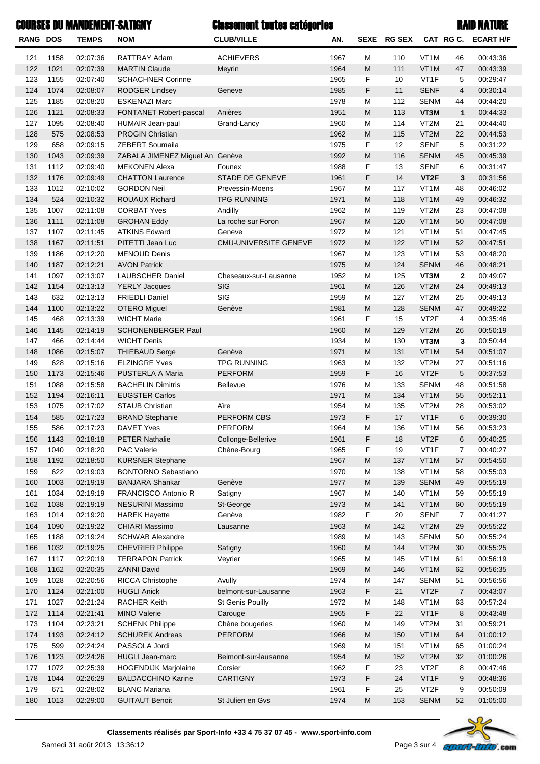| <b>COURSES DU MANDEMENT-SATIGNY</b> |      |              |                                 | <b>Classement toutes catégories</b> |      |                                                                                                            |             |                   |                | <b>RAID NATURE</b>  |
|-------------------------------------|------|--------------|---------------------------------|-------------------------------------|------|------------------------------------------------------------------------------------------------------------|-------------|-------------------|----------------|---------------------|
| RANG DOS                            |      | <b>TEMPS</b> | <b>NOM</b>                      | <b>CLUB/VILLE</b>                   | AN.  |                                                                                                            | SEXE RG SEX |                   |                | CAT RG C. ECART H/F |
| 121                                 | 1158 | 02:07:36     | RATTRAY Adam                    | <b>ACHIEVERS</b>                    | 1967 | м                                                                                                          | 110         | VT <sub>1</sub> M | 46             | 00:43:36            |
| 122                                 | 1021 | 02:07:39     | <b>MARTIN Claude</b>            | Meyrin                              | 1964 | M                                                                                                          | 111         | VT <sub>1</sub> M | 47             | 00:43:39            |
| 123                                 | 1155 | 02:07:40     | <b>SCHACHNER Corinne</b>        |                                     | 1965 | F                                                                                                          | 10          | VT1F              | 5              | 00:29:47            |
| 124                                 | 1074 | 02:08:07     | <b>RODGER Lindsey</b>           | Geneve                              | 1985 | F                                                                                                          | 11          | <b>SENF</b>       | 4              | 00:30:14            |
| 125                                 | 1185 | 02:08:20     | <b>ESKENAZI Marc</b>            |                                     | 1978 | M                                                                                                          | 112         | <b>SENM</b>       | 44             | 00:44:20            |
| 126                                 | 1121 | 02:08:33     | FONTANET Robert-pascal          | Anières                             | 1951 | M                                                                                                          | 113         | VT3M              | $\mathbf{1}$   | 00:44:33            |
| 127                                 | 1095 | 02:08:40     | HUMAIR Jean-paul                | Grand-Lancy                         | 1960 | M                                                                                                          | 114         | VT2M              | 21             | 00:44:40            |
| 128                                 | 575  | 02:08:53     | <b>PROGIN Christian</b>         |                                     | 1962 | M                                                                                                          | 115         | VT2M              | 22             | 00:44:53            |
| 129                                 | 658  | 02:09:15     | ZEBERT Soumaila                 |                                     | 1975 | F                                                                                                          | 12          | <b>SENF</b>       | 5              | 00:31:22            |
| 130                                 | 1043 | 02:09:39     | ZABALA JIMENEZ Miguel An Genève |                                     | 1992 | M                                                                                                          | 116         | <b>SENM</b>       | 45             | 00:45:39            |
| 131                                 | 1112 | 02:09:40     | <b>MEKONEN Alexa</b>            | Founex                              | 1988 | F                                                                                                          | 13          | <b>SENF</b>       | 6              | 00:31:47            |
| 132                                 | 1176 | 02:09:49     | <b>CHATTON Laurence</b>         | <b>STADE DE GENEVE</b>              | 1961 | F                                                                                                          | 14          | VT <sub>2</sub> F | 3              | 00:31:56            |
| 133                                 | 1012 | 02:10:02     | <b>GORDON Neil</b>              | Prevessin-Moens                     | 1967 | M                                                                                                          | 117         | VT <sub>1</sub> M | 48             | 00:46:02            |
| 134                                 | 524  | 02:10:32     | <b>ROUAUX Richard</b>           | <b>TPG RUNNING</b>                  | 1971 | M                                                                                                          | 118         | VT <sub>1</sub> M | 49             | 00:46:32            |
| 135                                 | 1007 | 02:11:08     | <b>CORBAT Yves</b>              | Andilly                             | 1962 | M                                                                                                          | 119         | VT2M              | 23             | 00:47:08            |
| 136                                 | 1111 | 02:11:08     | <b>GROHAN Eddy</b>              | La roche sur Foron                  | 1967 | M                                                                                                          | 120         | VT <sub>1</sub> M | 50             | 00:47:08            |
| 137                                 | 1107 | 02:11:45     | <b>ATKINS Edward</b>            | Geneve                              | 1972 | M                                                                                                          | 121         | VT <sub>1</sub> M | 51             | 00:47:45            |
| 138                                 | 1167 | 02:11:51     | PITETTI Jean Luc                | <b>CMU-UNIVERSITE GENEVE</b>        | 1972 | M                                                                                                          | 122         | VT <sub>1</sub> M | 52             | 00:47:51            |
| 139                                 | 1186 | 02:12:20     | <b>MENOUD Denis</b>             |                                     | 1967 | M                                                                                                          | 123         | VT <sub>1</sub> M | 53             | 00:48:20            |
| 140                                 | 1187 | 02:12:21     | <b>AVON Patrick</b>             |                                     | 1975 | M                                                                                                          | 124         | <b>SENM</b>       | 46             | 00:48:21            |
| 141                                 | 1097 | 02:13:07     | <b>LAUBSCHER Daniel</b>         | Cheseaux-sur-Lausanne               | 1952 | M                                                                                                          | 125         | VT3M              | $\mathbf{2}$   | 00:49:07            |
| 142                                 | 1154 | 02:13:13     | <b>YERLY Jacques</b>            | SIG                                 | 1961 | M                                                                                                          | 126         | VT2M              | 24             | 00:49:13            |
| 143                                 | 632  | 02:13:13     | <b>FRIEDLI Daniel</b>           | SIG                                 | 1959 | M                                                                                                          | 127         | VT2M              | 25             | 00:49:13            |
| 144                                 | 1100 | 02:13:22     | <b>OTERO</b> Miguel             | Genève                              | 1981 | M                                                                                                          | 128         | <b>SENM</b>       | 47             | 00:49:22            |
| 145                                 | 468  | 02:13:39     | <b>WICHT Marie</b>              |                                     | 1961 | F                                                                                                          | 15          | VT <sub>2</sub> F | 4              | 00:35:46            |
| 146                                 | 1145 | 02:14:19     | <b>SCHONENBERGER Paul</b>       |                                     | 1960 | $\mathsf{M}% _{T}=\mathsf{M}_{T}\!\left( a,b\right) ,\ \mathsf{M}_{T}=\mathsf{M}_{T}\!\left( a,b\right) ,$ | 129         | VT2M              | 26             | 00:50:19            |
| 147                                 | 466  | 02:14:44     | <b>WICHT Denis</b>              |                                     | 1934 | M                                                                                                          | 130         | VT3M              | 3              | 00:50:44            |
| 148                                 | 1086 | 02:15:07     | <b>THIEBAUD Serge</b>           | Genève                              | 1971 | M                                                                                                          | 131         | VT <sub>1</sub> M | 54             | 00:51:07            |
| 149                                 | 628  | 02:15:16     | <b>ELZINGRE Yves</b>            | <b>TPG RUNNING</b>                  | 1963 | M                                                                                                          | 132         | VT2M              | 27             | 00:51:16            |
| 150                                 | 1173 | 02:15:46     | PUSTERLA A Maria                | <b>PERFORM</b>                      | 1959 | F                                                                                                          | 16          | VT <sub>2</sub> F | 5              | 00:37:53            |
| 151                                 | 1088 | 02:15:58     | <b>BACHELIN Dimitris</b>        | Bellevue                            | 1976 | M                                                                                                          | 133         | <b>SENM</b>       | 48             | 00:51:58            |
| 152                                 | 1194 | 02:16:11     | <b>EUGSTER Carlos</b>           |                                     | 1971 | M                                                                                                          | 134         | VT <sub>1</sub> M | 55             | 00:52:11            |
| 153                                 | 1075 | 02:17:02     | <b>STAUB Christian</b>          | Aïre                                | 1954 | М                                                                                                          | 135         | VT2M              | 28             | 00:53:02            |
| 154                                 | 585  | 02:17:23     | <b>BRAND Stephanie</b>          | <b>PERFORM CBS</b>                  | 1973 | F                                                                                                          | 17          | VT <sub>1</sub> F | 6              | 00:39:30            |
| 155                                 | 586  | 02:17:23     | DAVET Yves                      | <b>PERFORM</b>                      | 1964 | М                                                                                                          | 136         | VT1M              | 56             | 00:53:23            |
| 156                                 | 1143 | 02:18:18     | <b>PETER Nathalie</b>           | Collonge-Bellerive                  | 1961 | F                                                                                                          | 18          | VT <sub>2</sub> F | 6              | 00:40:25            |
| 157                                 | 1040 | 02:18:20     | <b>PAC Valerie</b>              | Chêne-Bourg                         | 1965 | F                                                                                                          | 19          | VT1F              | 7              | 00:40:27            |
| 158                                 | 1192 | 02:18:50     | <b>KURSNER Stephane</b>         |                                     | 1967 | ${\sf M}$                                                                                                  | 137         | VT <sub>1</sub> M | 57             | 00:54:50            |
| 159                                 | 622  | 02:19:03     | <b>BONTORNO Sebastiano</b>      |                                     | 1970 | М                                                                                                          | 138         | VT <sub>1</sub> M | 58             | 00:55:03            |
| 160                                 | 1003 | 02:19:19     | <b>BANJARA Shankar</b>          | Genève                              | 1977 | ${\sf M}$                                                                                                  | 139         | <b>SENM</b>       | 49             | 00:55:19            |
| 161                                 | 1034 | 02:19:19     | FRANCISCO Antonio R             | Satigny                             | 1967 | М                                                                                                          | 140         | VT <sub>1</sub> M | 59             | 00:55:19            |
| 162                                 | 1038 | 02:19:19     | <b>NESURINI Massimo</b>         | St-George                           | 1973 | M                                                                                                          | 141         | VT <sub>1</sub> M | 60             | 00:55:19            |
| 163                                 | 1014 | 02:19:20     | <b>HAREK Hayette</b>            | Genève                              | 1982 | F                                                                                                          | 20          | <b>SENF</b>       | 7              | 00:41:27            |
| 164                                 | 1090 | 02:19:22     | <b>CHIARI Massimo</b>           | Lausanne                            | 1963 | ${\sf M}$                                                                                                  | 142         | VT2M              | 29             | 00:55:22            |
| 165                                 | 1188 | 02:19:24     | <b>SCHWAB Alexandre</b>         |                                     | 1989 | М                                                                                                          | 143         | <b>SENM</b>       | 50             | 00:55:24            |
| 166                                 | 1032 | 02:19:25     | <b>CHEVRIER Philippe</b>        | Satigny                             | 1960 | ${\sf M}$                                                                                                  | 144         | VT2M              | 30             | 00:55:25            |
| 167                                 | 1117 | 02:20:19     | <b>TERRAPON Patrick</b>         | Veyrier                             | 1965 | М                                                                                                          | 145         | VT1M              | 61             | 00:56:19            |
| 168                                 | 1162 | 02:20:35     | <b>ZANNI David</b>              |                                     | 1969 | ${\sf M}$                                                                                                  | 146         | VT1M              | 62             | 00:56:35            |
| 169                                 | 1028 | 02:20:56     | <b>RICCA Christophe</b>         | Avully                              | 1974 | М                                                                                                          | 147         | <b>SENM</b>       | 51             | 00:56:56            |
| 170                                 | 1124 | 02:21:00     | <b>HUGLI Anick</b>              | belmont-sur-Lausanne                | 1963 | F                                                                                                          | 21          | VT <sub>2</sub> F | $\overline{7}$ | 00:43:07            |
| 171                                 | 1027 | 02:21:24     | RACHER Keith                    | St Genis Pouilly                    | 1972 | М                                                                                                          | 148         | VT <sub>1</sub> M | 63             | 00:57:24            |
| 172                                 | 1114 | 02:21:41     | <b>MINO Valerie</b>             | Carouge                             | 1965 | F                                                                                                          | 22          | VT <sub>1</sub> F | 8              | 00:43:48            |
| 173                                 | 1104 | 02:23:21     | <b>SCHENK Philippe</b>          | Chêne bougeries                     | 1960 | М                                                                                                          | 149         | VT2M              | 31             | 00:59:21            |
| 174                                 | 1193 | 02:24:12     | <b>SCHUREK Andreas</b>          | <b>PERFORM</b>                      | 1966 | ${\sf M}$                                                                                                  | 150         | VT1M              | 64             | 01:00:12            |
| 175                                 | 599  | 02:24:24     | PASSOLA Jordi                   |                                     | 1969 | М                                                                                                          | 151         | VT <sub>1</sub> M | 65             | 01:00:24            |
| 176                                 | 1123 | 02:24:26     | <b>HUGLI Jean-marc</b>          | Belmont-sur-lausanne                | 1954 | M                                                                                                          | 152         | VT2M              | 32             | 01:00:26            |
| 177                                 | 1072 | 02:25:39     | HOGENDIJK Marjolaine            | Corsier                             | 1962 | F                                                                                                          | 23          | VT <sub>2</sub> F | 8              | 00:47:46            |
| 178                                 | 1044 | 02:26:29     | <b>BALDACCHINO Karine</b>       | <b>CARTIGNY</b>                     | 1973 | F                                                                                                          | 24          | VT1F              | 9              | 00:48:36            |
| 179                                 | 671  | 02:28:02     | <b>BLANC Mariana</b>            |                                     | 1961 | F                                                                                                          | 25          | VT <sub>2</sub> F | 9              | 00:50:09            |



180 1013 02:29:00 GUITAUT Benoit St Julien en Gvs 52 1974 M 153 SENM 52 01:05:00